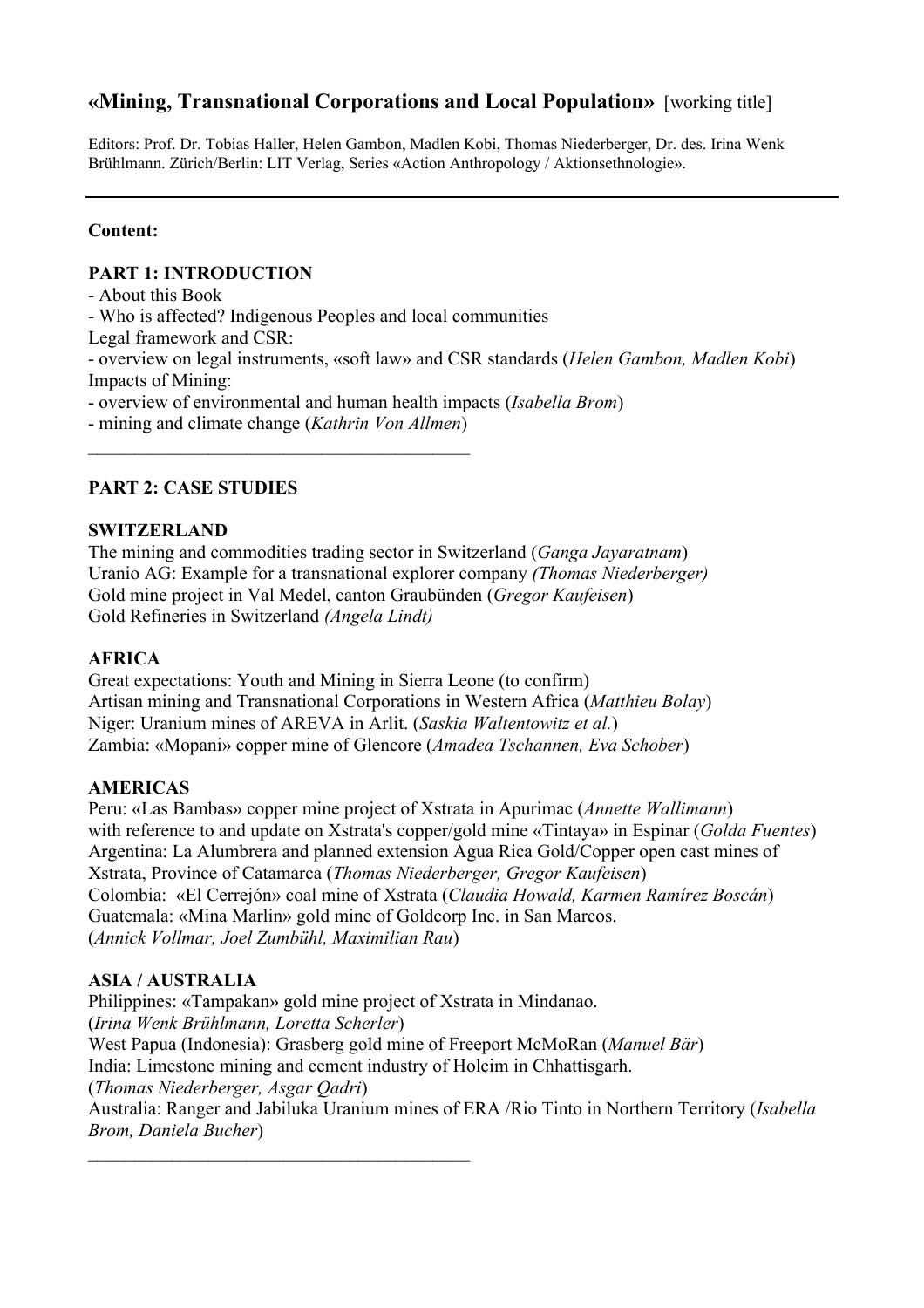# **«Mining, Transnational Corporations and Local Population»** [working title]

Editors: Prof. Dr. Tobias Haller, Helen Gambon, Madlen Kobi, Thomas Niederberger, Dr. des. Irina Wenk Brühlmann. Zürich/Berlin: LIT Verlag, Series «Action Anthropology / Aktionsethnologie».

### **Content:**

#### **PART 1: INTRODUCTION**

- About this Book

- Who is affected? Indigenous Peoples and local communities

Legal framework and CSR:

- overview on legal instruments, «soft law» and CSR standards (*Helen Gambon, Madlen Kobi*) Impacts of Mining:

- overview of environmental and human health impacts (*Isabella Brom*)

- mining and climate change (*Kathrin Von Allmen*)  $\mathcal{L}_\text{max}$ 

## **PART 2: CASE STUDIES**

### **SWITZERLAND**

The mining and commodities trading sector in Switzerland (*Ganga Jayaratnam*) Uranio AG: Example for a transnational explorer company *(Thomas Niederberger)* Gold mine project in Val Medel, canton Graubünden (*Gregor Kaufeisen*) Gold Refineries in Switzerland *(Angela Lindt)*

### **AFRICA**

Great expectations: Youth and Mining in Sierra Leone (to confirm) Artisan mining and Transnational Corporations in Western Africa (*Matthieu Bolay*) Niger: Uranium mines of AREVA in Arlit. (*Saskia Waltentowitz et al.*) Zambia: «Mopani» copper mine of Glencore (*Amadea Tschannen, Eva Schober*)

## **AMERICAS**

Peru: «Las Bambas» copper mine project of Xstrata in Apurimac (*Annette Wallimann*) with reference to and update on Xstrata's copper/gold mine «Tintaya» in Espinar (*Golda Fuentes*) Argentina: La Alumbrera and planned extension Agua Rica Gold/Copper open cast mines of Xstrata, Province of Catamarca (*Thomas Niederberger, Gregor Kaufeisen*) Colombia: «El Cerrejón» coal mine of Xstrata (*Claudia Howald, Karmen Ramírez Boscán*) Guatemala: «Mina Marlin» gold mine of Goldcorp Inc. in San Marcos. (*Annick Vollmar, Joel Zumbühl, Maximilian Rau*)

## **ASIA / AUSTRALIA**

Philippines: «Tampakan» gold mine project of Xstrata in Mindanao. (*Irina Wenk Brühlmann, Loretta Scherler*) West Papua (Indonesia): Grasberg gold mine of Freeport McMoRan (*Manuel Bär*) India: Limestone mining and cement industry of Holcim in Chhattisgarh. (*Thomas Niederberger, Asgar Qadri*) Australia: Ranger and Jabiluka Uranium mines of ERA /Rio Tinto in Northern Territory (*Isabella Brom, Daniela Bucher*)  $\mathcal{L}_\text{max}$  , and the set of the set of the set of the set of the set of the set of the set of the set of the set of the set of the set of the set of the set of the set of the set of the set of the set of the set of the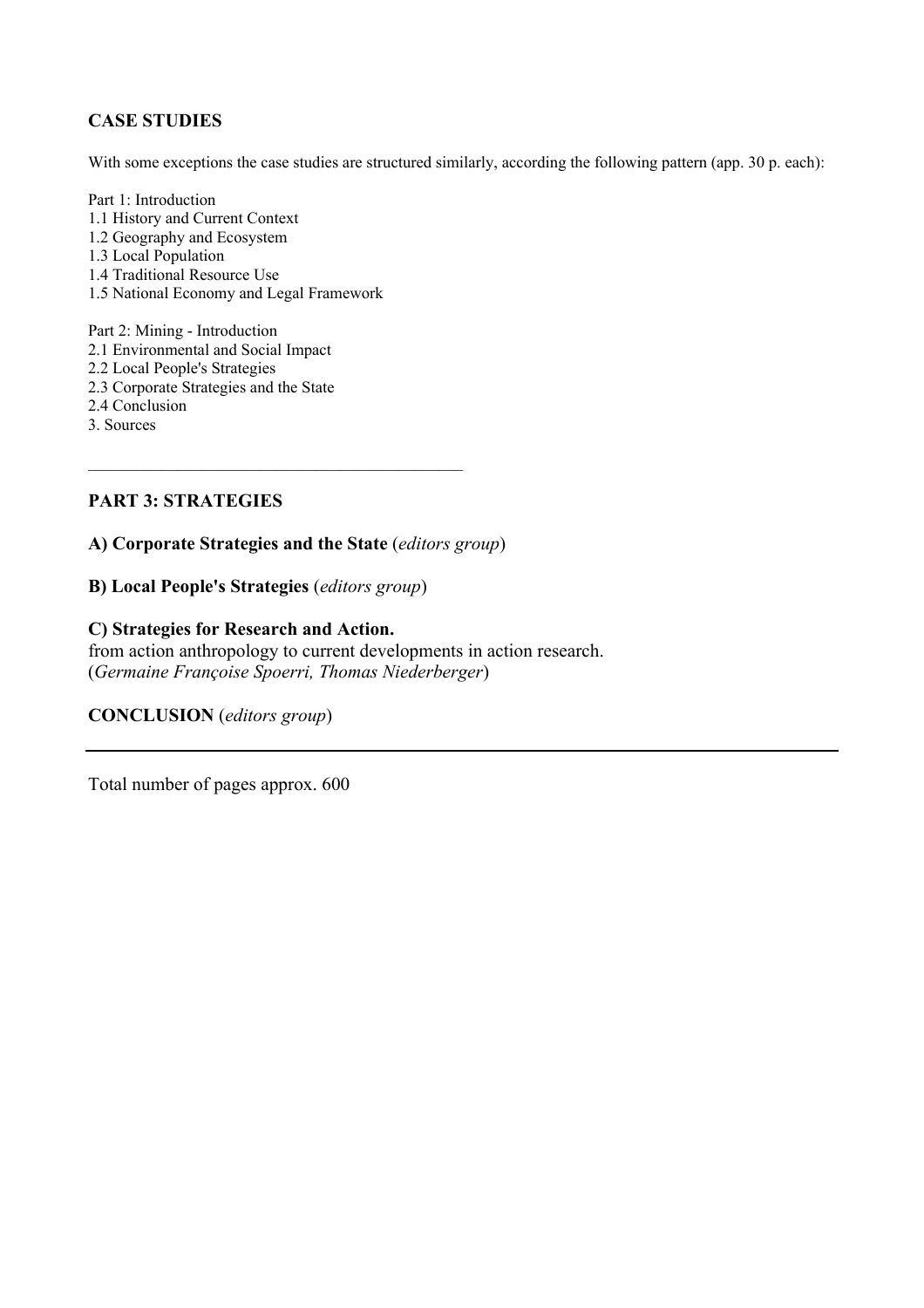### **CASE STUDIES**

With some exceptions the case studies are structured similarly, according the following pattern (app. 30 p. each):

- Part 1: Introduction 1.1 History and Current Context 1.2 Geography and Ecosystem 1.3 Local Population 1.4 Traditional Resource Use 1.5 National Economy and Legal Framework
- Part 2: Mining Introduction 2.1 Environmental and Social Impact 2.2 Local People's Strategies 2.3 Corporate Strategies and the State 2.4 Conclusion 3. Sources

#### **PART 3: STRATEGIES**

**A) Corporate Strategies and the State** (*editors group*)

 $\mathcal{L}_\text{max}$  and  $\mathcal{L}_\text{max}$  and  $\mathcal{L}_\text{max}$  and  $\mathcal{L}_\text{max}$  and  $\mathcal{L}_\text{max}$ 

**B) Local People's Strategies** (*editors group*)

#### **C) Strategies for Research and Action.**

from action anthropology to current developments in action research. (*Germaine Françoise Spoerri, Thomas Niederberger*)

**CONCLUSION** (*editors group*)

Total number of pages approx. 600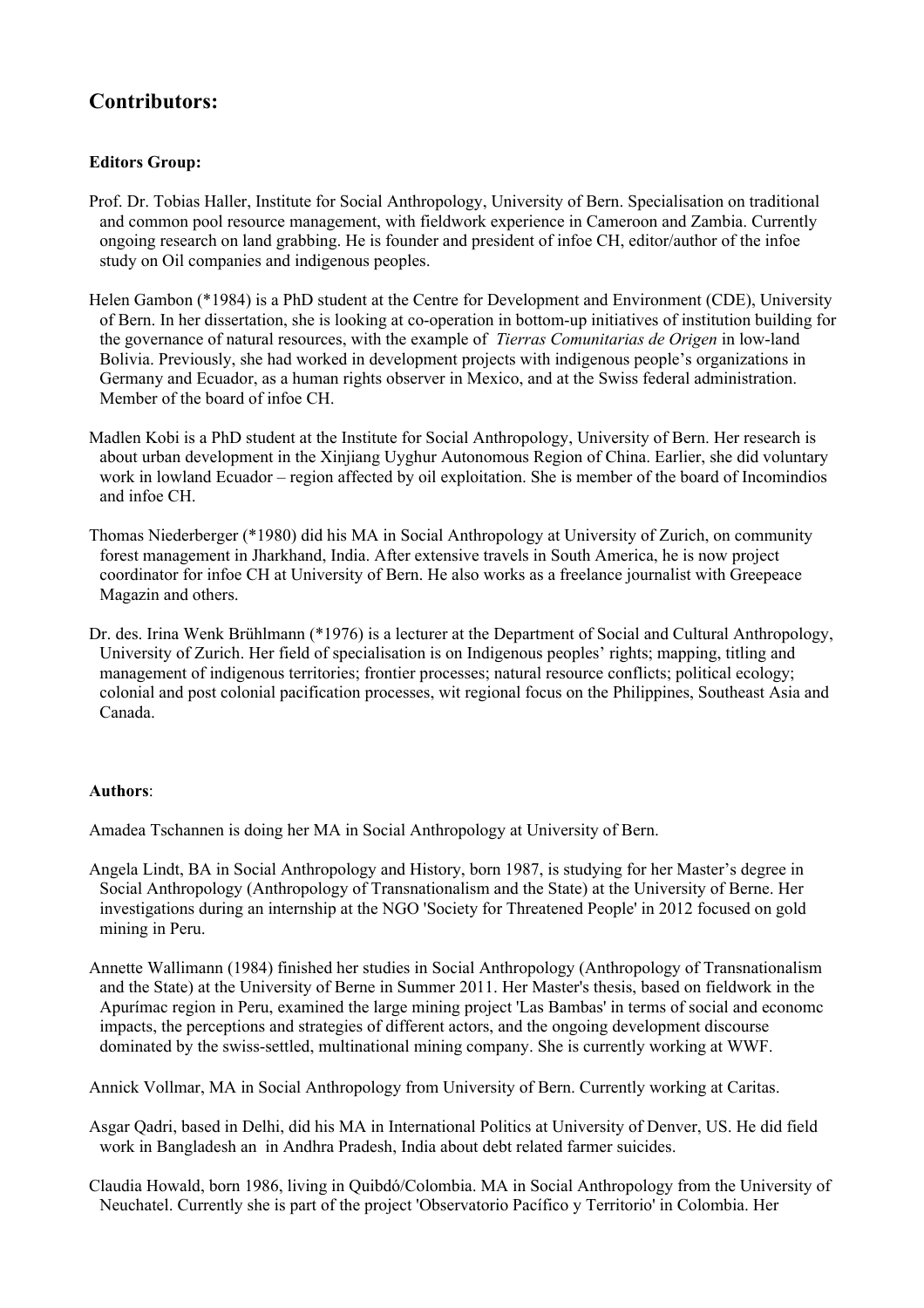# **Contributors:**

#### **Editors Group:**

- Prof. Dr. Tobias Haller, Institute for Social Anthropology, University of Bern. Specialisation on traditional and common pool resource management, with fieldwork experience in Cameroon and Zambia. Currently ongoing research on land grabbing. He is founder and president of infoe CH, editor/author of the infoe study on Oil companies and indigenous peoples.
- Helen Gambon (\*1984) is a PhD student at the Centre for Development and Environment (CDE), University of Bern. In her dissertation, she is looking at co-operation in bottom-up initiatives of institution building for the governance of natural resources, with the example of *Tierras Comunitarias de Origen* in low-land Bolivia. Previously, she had worked in development projects with indigenous people's organizations in Germany and Ecuador, as a human rights observer in Mexico, and at the Swiss federal administration. Member of the board of infoe CH.
- Madlen Kobi is a PhD student at the Institute for Social Anthropology, University of Bern. Her research is about urban development in the Xinjiang Uyghur Autonomous Region of China. Earlier, she did voluntary work in lowland Ecuador – region affected by oil exploitation. She is member of the board of Incomindios and infoe CH.
- Thomas Niederberger (\*1980) did his MA in Social Anthropology at University of Zurich, on community forest management in Jharkhand, India. After extensive travels in South America, he is now project coordinator for infoe CH at University of Bern. He also works as a freelance journalist with Greepeace Magazin and others.
- Dr. des. Irina Wenk Brühlmann (\*1976) is a lecturer at the Department of Social and Cultural Anthropology, University of Zurich. Her field of specialisation is on Indigenous peoples' rights; mapping, titling and management of indigenous territories; frontier processes; natural resource conflicts; political ecology; colonial and post colonial pacification processes, wit regional focus on the Philippines, Southeast Asia and Canada.

#### **Authors**:

Amadea Tschannen is doing her MA in Social Anthropology at University of Bern.

- Angela Lindt, BA in Social Anthropology and History, born 1987, is studying for her Master's degree in Social Anthropology (Anthropology of Transnationalism and the State) at the University of Berne. Her investigations during an internship at the NGO 'Society for Threatened People' in 2012 focused on gold mining in Peru.
- Annette Wallimann (1984) finished her studies in Social Anthropology (Anthropology of Transnationalism and the State) at the University of Berne in Summer 2011. Her Master's thesis, based on fieldwork in the Apurímac region in Peru, examined the large mining project 'Las Bambas' in terms of social and economc impacts, the perceptions and strategies of different actors, and the ongoing development discourse dominated by the swiss-settled, multinational mining company. She is currently working at WWF.

Annick Vollmar, MA in Social Anthropology from University of Bern. Currently working at Caritas.

Asgar Qadri, based in Delhi, did his MA in International Politics at University of Denver, US. He did field work in Bangladesh an in Andhra Pradesh, India about debt related farmer suicides.

Claudia Howald, born 1986, living in Quibdó/Colombia. MA in Social Anthropology from the University of Neuchatel. Currently she is part of the project 'Observatorio Pacífico y Territorio' in Colombia. Her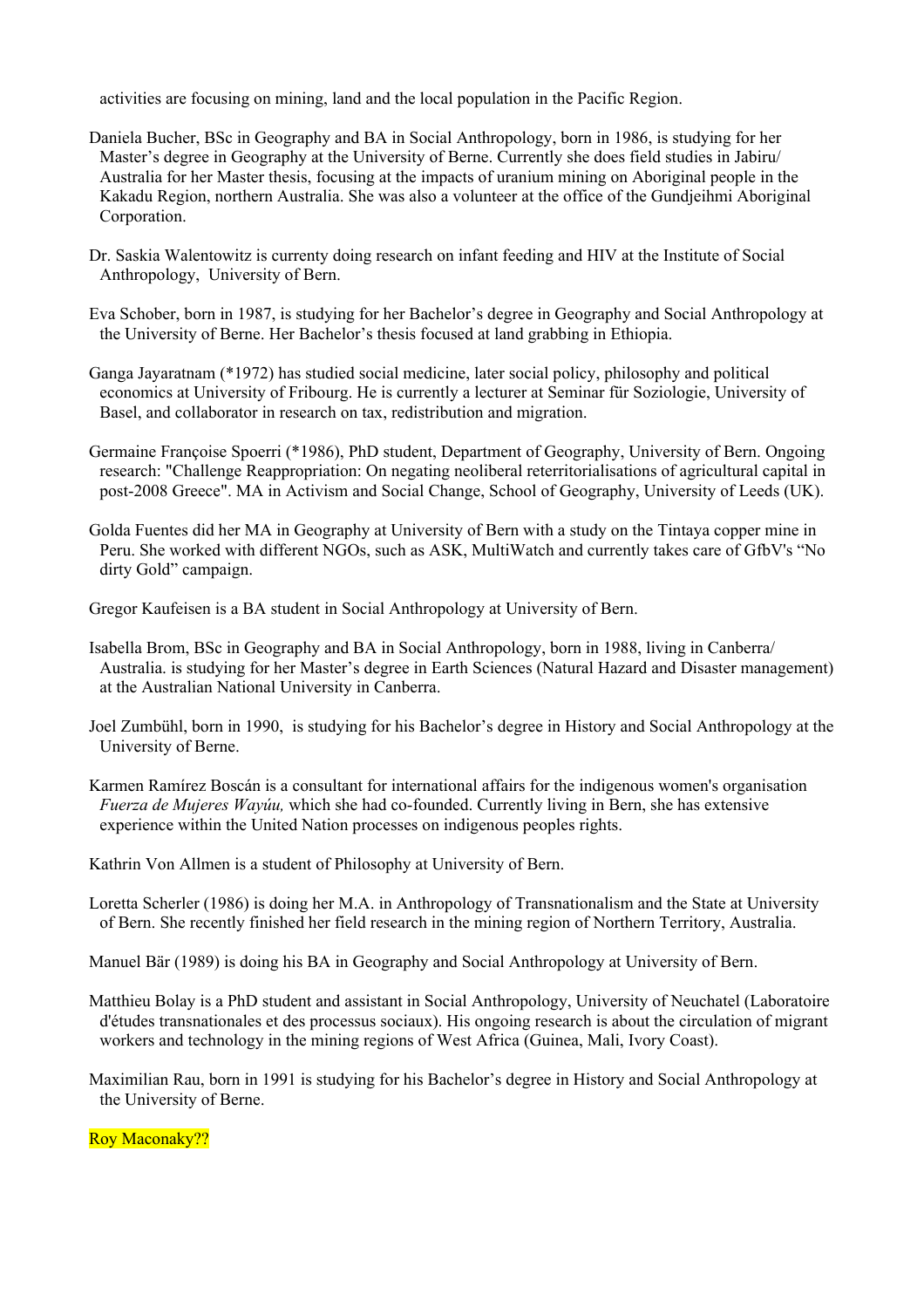activities are focusing on mining, land and the local population in the Pacific Region.

- Daniela Bucher, BSc in Geography and BA in Social Anthropology, born in 1986, is studying for her Master's degree in Geography at the University of Berne. Currently she does field studies in Jabiru/ Australia for her Master thesis, focusing at the impacts of uranium mining on Aboriginal people in the Kakadu Region, northern Australia. She was also a volunteer at the office of the Gundjeihmi Aboriginal Corporation.
- Dr. Saskia Walentowitz is currenty doing research on infant feeding and HIV at the Institute of Social Anthropology, University of Bern.
- Eva Schober, born in 1987, is studying for her Bachelor's degree in Geography and Social Anthropology at the University of Berne. Her Bachelor's thesis focused at land grabbing in Ethiopia.
- Ganga Jayaratnam (\*1972) has studied social medicine, later social policy, philosophy and political economics at University of Fribourg. He is currently a lecturer at Seminar für Soziologie, University of Basel, and collaborator in research on tax, redistribution and migration.
- Germaine Françoise Spoerri (\*1986), PhD student, Department of Geography, University of Bern. Ongoing research: "Challenge Reappropriation: On negating neoliberal reterritorialisations of agricultural capital in post-2008 Greece". MA in Activism and Social Change, School of Geography, University of Leeds (UK).
- Golda Fuentes did her MA in Geography at University of Bern with a study on the Tintaya copper mine in Peru. She worked with different NGOs, such as ASK, MultiWatch and currently takes care of GfbV's "No dirty Gold" campaign.

Gregor Kaufeisen is a BA student in Social Anthropology at University of Bern.

- Isabella Brom, BSc in Geography and BA in Social Anthropology, born in 1988, living in Canberra/ Australia. is studying for her Master's degree in Earth Sciences (Natural Hazard and Disaster management) at the Australian National University in Canberra.
- Joel Zumbühl, born in 1990, is studying for his Bachelor's degree in History and Social Anthropology at the University of Berne.
- Karmen Ramírez Boscán is a consultant for international affairs for the indigenous women's organisation *Fuerza de Mujeres Wayúu,* which she had co-founded. Currently living in Bern, she has extensive experience within the United Nation processes on indigenous peoples rights.
- Kathrin Von Allmen is a student of Philosophy at University of Bern.
- Loretta Scherler (1986) is doing her M.A. in Anthropology of Transnationalism and the State at University of Bern. She recently finished her field research in the mining region of Northern Territory, Australia.

Manuel Bär (1989) is doing his BA in Geography and Social Anthropology at University of Bern.

Matthieu Bolay is a PhD student and assistant in Social Anthropology, University of Neuchatel (Laboratoire d'études transnationales et des processus sociaux). His ongoing research is about the circulation of migrant workers and technology in the mining regions of West Africa (Guinea, Mali, Ivory Coast).

Maximilian Rau, born in 1991 is studying for his Bachelor's degree in History and Social Anthropology at the University of Berne.

Roy Maconaky??